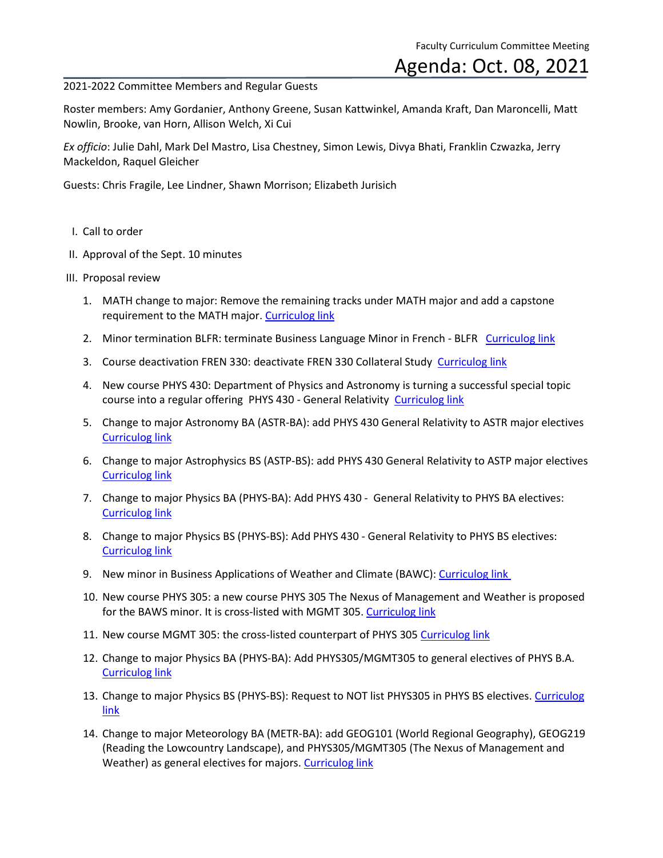Faculty Curriculum Committee Meeting

## Agenda: Oct. 08, 2021

## 2021-2022 Committee Members and Regular Guests

Roster members: Amy Gordanier, Anthony Greene, Susan Kattwinkel, Amanda Kraft, Dan Maroncelli, Matt Nowlin, Brooke, van Horn, Allison Welch, Xi Cui

*Ex officio*: Julie Dahl, Mark Del Mastro, Lisa Chestney, Simon Lewis, Divya Bhati, Franklin Czwazka, Jerry Mackeldon, Raquel Gleicher

Guests: Chris Fragile, Lee Lindner, Shawn Morrison; Elizabeth Jurisich

- I. Call to order
- II. Approval of the Sept. 10 minutes
- III. Proposal review
	- 1. MATH change to major: Remove the remaining tracks under MATH major and add a capstone requirement to the MATH major. [Curriculog link](https://cofc.curriculog.com/proposal:3364/form)
	- 2. Minor termination BLFR: terminate Business Language Minor in French BLFR [Curriculog link](https://cofc.curriculog.com/proposal:3339/form)
	- 3. Course deactivation FREN 330: deactivate FREN 330 Collateral Study [Curriculog link](https://cofc.curriculog.com/proposal:3395/form)
	- 4. New course PHYS 430: Department of Physics and Astronomy is turning a successful special topic course into a regular offering PHYS 430 - General Relativity [Curriculog link](https://cofc.curriculog.com/proposal:3448/form)
	- 5. Change to major Astronomy BA (ASTR-BA): add PHYS 430 General Relativity to ASTR major electives [Curriculog link](https://cofc.curriculog.com/proposal:3449/form)
	- 6. Change to major Astrophysics BS (ASTP-BS): add PHYS 430 General Relativity to ASTP major electives [Curriculog link](https://cofc.curriculog.com/proposal:3450/form)
	- 7. Change to major Physics BA (PHYS-BA): Add PHYS 430 General Relativity to PHYS BA electives: [Curriculog link](https://cofc.curriculog.com/proposal:3451/form)
	- 8. Change to major Physics BS (PHYS-BS): Add PHYS 430 General Relativity to PHYS BS electives: [Curriculog link](https://cofc.curriculog.com/proposal:3452/form)
	- 9. New minor in Business Applications of Weather and Climate (BAWC)[: Curriculog link](https://cofc.curriculog.com/proposal:3278/form)
	- 10. New course PHYS 305: a new course PHYS 305 The Nexus of Management and Weather is proposed for the BAWS minor. It is cross-listed with MGMT 305[. Curriculog link](https://cofc.curriculog.com/proposal:3279/form)
	- 11. New course MGMT 305: the cross-listed counterpart of PHYS 305 [Curriculog link](https://cofc.curriculog.com/proposal:3280/form)
	- 12. Change to major Physics BA (PHYS-BA): Add PHYS305/MGMT305 to general electives of PHYS B.A. [Curriculog link](https://cofc.curriculog.com/proposal:3362/form)
	- 13. Change to major Physics BS (PHYS-BS): Request to NOT list PHYS305 in PHYS BS electives. [Curriculog](https://cofc.curriculog.com/proposal:3363/form)  [link](https://cofc.curriculog.com/proposal:3363/form)
	- 14. Change to major Meteorology BA (METR-BA): add GEOG101 (World Regional Geography), GEOG219 (Reading the Lowcountry Landscape), and PHYS305/MGMT305 (The Nexus of Management and Weather) as general electives for majors[. Curriculog link](https://cofc.curriculog.com/proposal:3322/form)